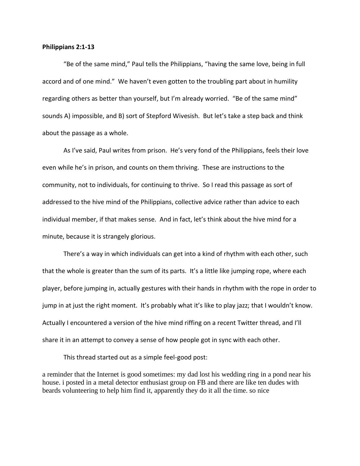## **Philippians 2:1-13**

"Be of the same mind," Paul tells the Philippians, "having the same love, being in full accord and of one mind." We haven't even gotten to the troubling part about in humility regarding others as better than yourself, but I'm already worried. "Be of the same mind" sounds A) impossible, and B) sort of Stepford Wivesish. But let's take a step back and think about the passage as a whole.

As I've said, Paul writes from prison. He's very fond of the Philippians, feels their love even while he's in prison, and counts on them thriving. These are instructions to the community, not to individuals, for continuing to thrive. So I read this passage as sort of addressed to the hive mind of the Philippians, collective advice rather than advice to each individual member, if that makes sense. And in fact, let's think about the hive mind for a minute, because it is strangely glorious.

There's a way in which individuals can get into a kind of rhythm with each other, such that the whole is greater than the sum of its parts. It's a little like jumping rope, where each player, before jumping in, actually gestures with their hands in rhythm with the rope in order to jump in at just the right moment. It's probably what it's like to play jazz; that I wouldn't know. Actually I encountered a version of the hive mind riffing on a recent Twitter thread, and I'll share it in an attempt to convey a sense of how people got in sync with each other.

This thread started out as a simple feel-good post:

a reminder that the Internet is good sometimes: my dad lost his wedding ring in a pond near his house. i posted in a metal detector enthusiast group on FB and there are like ten dudes with beards volunteering to help him find it, apparently they do it all the time. so nice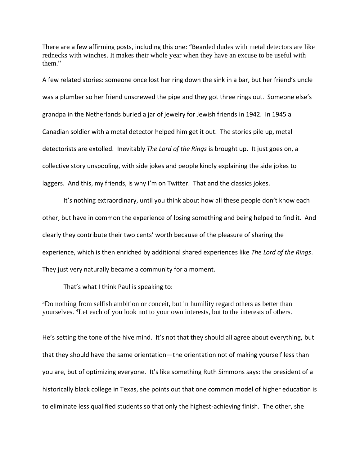There are a few affirming posts, including this one: "Bearded dudes with metal detectors are like rednecks with winches. It makes their whole year when they have an excuse to be useful with them."

A few related stories: someone once lost her ring down the sink in a bar, but her friend's uncle was a plumber so her friend unscrewed the pipe and they got three rings out. Someone else's grandpa in the Netherlands buried a jar of jewelry for Jewish friends in 1942. In 1945 a Canadian soldier with a metal detector helped him get it out. The stories pile up, metal detectorists are extolled. Inevitably *The Lord of the Rings* is brought up. It just goes on, a collective story unspooling, with side jokes and people kindly explaining the side jokes to laggers. And this, my friends, is why I'm on Twitter. That and the classics jokes.

It's nothing extraordinary, until you think about how all these people don't know each other, but have in common the experience of losing something and being helped to find it. And clearly they contribute their two cents' worth because of the pleasure of sharing the experience, which is then enriched by additional shared experiences like *The Lord of the Rings*. They just very naturally became a community for a moment.

That's what I think Paul is speaking to:

<sup>3</sup>Do nothing from selfish ambition or conceit, but in humility regard others as better than yourselves. <sup>4</sup>Let each of you look not to your own interests, but to the interests of others.

He's setting the tone of the hive mind. It's not that they should all agree about everything, but that they should have the same orientation—the orientation not of making yourself less than you are, but of optimizing everyone. It's like something Ruth Simmons says: the president of a historically black college in Texas, she points out that one common model of higher education is to eliminate less qualified students so that only the highest-achieving finish. The other, she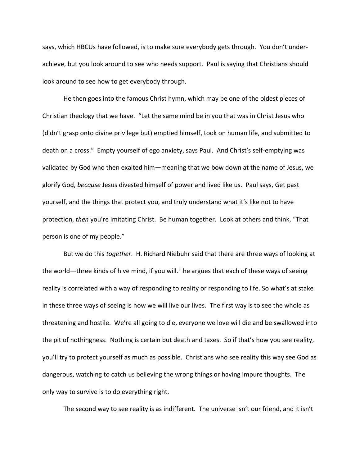says, which HBCUs have followed, is to make sure everybody gets through. You don't underachieve, but you look around to see who needs support. Paul is saying that Christians should look around to see how to get everybody through.

He then goes into the famous Christ hymn, which may be one of the oldest pieces of Christian theology that we have. "Let the same mind be in you that was in Christ Jesus who (didn't grasp onto divine privilege but) emptied himself, took on human life, and submitted to death on a cross." Empty yourself of ego anxiety, says Paul. And Christ's self-emptying was validated by God who then exalted him—meaning that we bow down at the name of Jesus, we glorify God, *because* Jesus divested himself of power and lived like us. Paul says, Get past yourself, and the things that protect you, and truly understand what it's like not to have protection, *then* you're imitating Christ. Be human together. Look at others and think, "That person is one of my people."

But we do this *together*. H. Richard Niebuhr said that there are three ways of looking at the world—three kinds of hive mind, if you will.<sup>i</sup> he argues that each of these ways of seeing reality is correlated with a way of responding to reality or responding to life. So what's at stake in these three ways of seeing is how we will live our lives. The first way is to see the whole as threatening and hostile. We're all going to die, everyone we love will die and be swallowed into the pit of nothingness. Nothing is certain but death and taxes. So if that's how you see reality, you'll try to protect yourself as much as possible. Christians who see reality this way see God as dangerous, watching to catch us believing the wrong things or having impure thoughts. The only way to survive is to do everything right.

The second way to see reality is as indifferent. The universe isn't our friend, and it isn't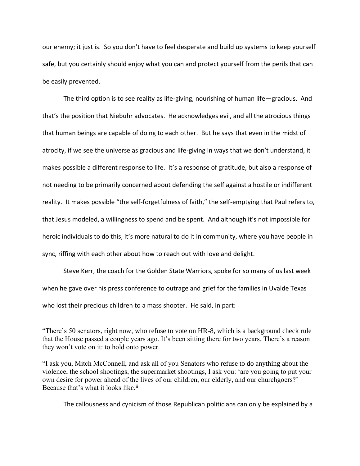our enemy; it just is. So you don't have to feel desperate and build up systems to keep yourself safe, but you certainly should enjoy what you can and protect yourself from the perils that can be easily prevented.

The third option is to see reality as life-giving, nourishing of human life—gracious. And that's the position that Niebuhr advocates. He acknowledges evil, and all the atrocious things that human beings are capable of doing to each other. But he says that even in the midst of atrocity, if we see the universe as gracious and life-giving in ways that we don't understand, it makes possible a different response to life. It's a response of gratitude, but also a response of not needing to be primarily concerned about defending the self against a hostile or indifferent reality. It makes possible "the self-forgetfulness of faith," the self-emptying that Paul refers to, that Jesus modeled, a willingness to spend and be spent. And although it's not impossible for heroic individuals to do this, it's more natural to do it in community, where you have people in sync, riffing with each other about how to reach out with love and delight.

Steve Kerr, the coach for the Golden State Warriors, spoke for so many of us last week when he gave over his press conference to outrage and grief for the families in Uvalde Texas who lost their precious children to a mass shooter. He said, in part:

"There's 50 senators, right now, who refuse to vote on HR-8, which is a background check rule that the House passed a couple years ago. It's been sitting there for two years. There's a reason they won't vote on it: to hold onto power.

"I ask you, Mitch McConnell, and ask all of you Senators who refuse to do anything about the violence, the school shootings, the supermarket shootings, I ask you: 'are you going to put your own desire for power ahead of the lives of our children, our elderly, and our churchgoers?' Because that's what it looks like.<sup>ii</sup>

The callousness and cynicism of those Republican politicians can only be explained by a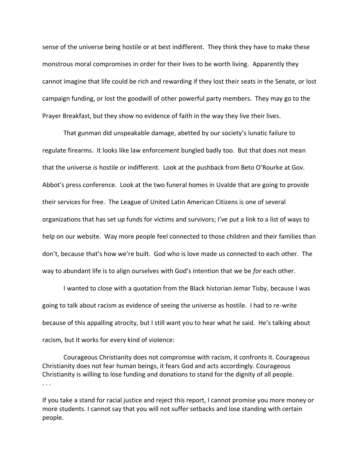sense of the universe being hostile or at best indifferent. They think they have to make these monstrous moral compromises in order for their lives to be worth living. Apparently they cannot imagine that life could be rich and rewarding if they lost their seats in the Senate, or lost campaign funding, or lost the goodwill of other powerful party members. They may go to the Prayer Breakfast, but they show no evidence of faith in the way they live their lives.

That gunman did unspeakable damage, abetted by our society's lunatic failure to regulate firearms. It looks like law enforcement bungled badly too. But that does not mean that the universe *is* hostile or indifferent. Look at the pushback from Beto O'Rourke at Gov. Abbot's press conference. Look at the two funeral homes in Uvalde that are going to provide their services for free. The League of United Latin American Citizens is one of several organizations that has set up funds for victims and survivors; I've put a link to a list of ways to help on our website. Way more people feel connected to those children and their families than don't, because that's how we're built. God who is love made us connected to each other. The way to abundant life is to align ourselves with God's intention that we be *for* each other.

I wanted to close with a quotation from the Black historian Jemar Tisby, because I was going to talk about racism as evidence of seeing the universe as hostile. I had to re-write because of this appalling atrocity, but I still want you to hear what he said. He's talking about racism, but it works for every kind of violence:

Courageous Christianity does not compromise with racism, it confronts it. Courageous Christianity does not fear human beings, it fears God and acts accordingly. Courageous Christianity is willing to lose funding and donations to stand for the dignity of all people. . . .

If you take a stand for racial justice and reject this report, I cannot promise you more money or more students. I cannot say that you will not suffer setbacks and lose standing with certain people.